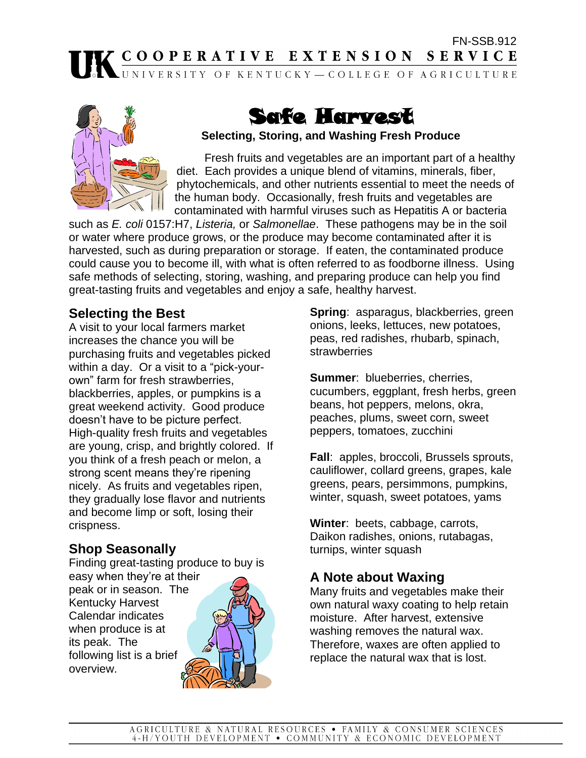# FN-SSB.912<br> **EXTENSION SERVICE**<br> **EXTENSION SERVICE**



# Safe Harvest

#### **Selecting, Storing, and Washing Fresh Produce**

Fresh fruits and vegetables are an important part of a healthy diet. Each provides a unique blend of vitamins, minerals, fiber, phytochemicals, and other nutrients essential to meet the needs of the human body. Occasionally, fresh fruits and vegetables are contaminated with harmful viruses such as Hepatitis A or bacteria

such as *E. coli* 0157:H7, *Listeria,* or *Salmonellae*. These pathogens may be in the soil or water where produce grows, or the produce may become contaminated after it is harvested, such as during preparation or storage. If eaten, the contaminated produce could cause you to become ill, with what is often referred to as foodborne illness. Using safe methods of selecting, storing, washing, and preparing produce can help you find great-tasting fruits and vegetables and enjoy a safe, healthy harvest.

#### **Selecting the Best**

A visit to your local farmers market increases the chance you will be purchasing fruits and vegetables picked within a day. Or a visit to a "pick-yourown" farm for fresh strawberries, blackberries, apples, or pumpkins is a great weekend activity. Good produce doesn't have to be picture perfect. High-quality fresh fruits and vegetables are young, crisp, and brightly colored. If you think of a fresh peach or melon, a strong scent means they're ripening nicely. As fruits and vegetables ripen, they gradually lose flavor and nutrients and become limp or soft, losing their crispness.

# **Shop Seasonally**

Finding great-tasting produce to buy is easy when they're at their peak or in season. The Kentucky Harvest Calendar indicates when produce is at its peak. The following list is a brief overview.



**Spring**: asparagus, blackberries, green onions, leeks, lettuces, new potatoes, peas, red radishes, rhubarb, spinach, **strawberries** 

**Summer**: blueberries, cherries, cucumbers, eggplant, fresh herbs, green beans, hot peppers, melons, okra, peaches, plums, sweet corn, sweet peppers, tomatoes, zucchini

**Fall**: apples, broccoli, Brussels sprouts, cauliflower, collard greens, grapes, kale greens, pears, persimmons, pumpkins, winter, squash, sweet potatoes, yams

**Winter**: beets, cabbage, carrots, Daikon radishes, onions, rutabagas, turnips, winter squash

# **A Note about Waxing**

Many fruits and vegetables make their own natural waxy coating to help retain moisture. After harvest, extensive washing removes the natural wax. Therefore, waxes are often applied to replace the natural wax that is lost.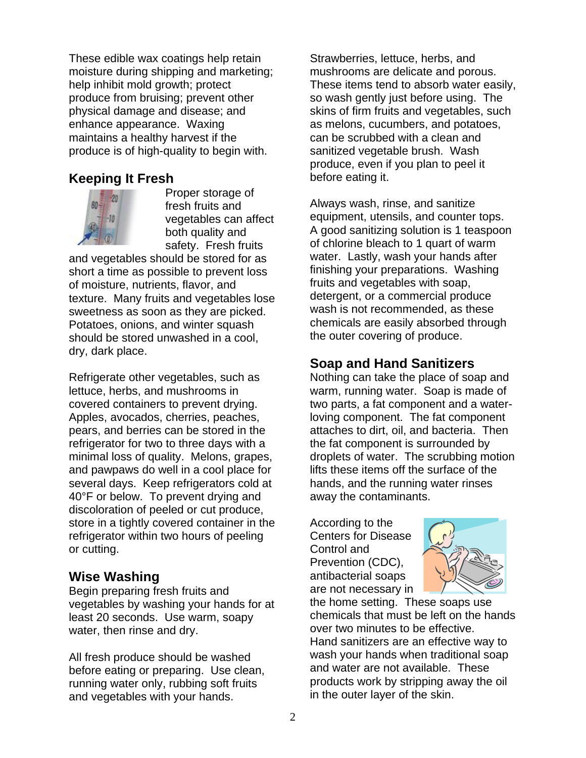These edible wax coatings help retain moisture during shipping and marketing; help inhibit mold growth; protect produce from bruising; prevent other physical damage and disease; and enhance appearance. Waxing maintains a healthy harvest if the produce is of high-quality to begin with.

#### **Keeping It Fresh**



Proper storage of fresh fruits and vegetables can affect both quality and safety. Fresh fruits

and vegetables should be stored for as short a time as possible to prevent loss of moisture, nutrients, flavor, and texture. Many fruits and vegetables lose sweetness as soon as they are picked. Potatoes, onions, and winter squash should be stored unwashed in a cool, dry, dark place.

Refrigerate other vegetables, such as lettuce, herbs, and mushrooms in covered containers to prevent drying. Apples, avocados, cherries, peaches, pears, and berries can be stored in the refrigerator for two to three days with a minimal loss of quality. Melons, grapes, and pawpaws do well in a cool place for several days. Keep refrigerators cold at 40°F or below. To prevent drying and discoloration of peeled or cut produce, store in a tightly covered container in the refrigerator within two hours of peeling or cutting.

#### **Wise Washing**

Begin preparing fresh fruits and vegetables by washing your hands for at least 20 seconds. Use warm, soapy water, then rinse and dry.

All fresh produce should be washed before eating or preparing. Use clean, running water only, rubbing soft fruits and vegetables with your hands.

Strawberries, lettuce, herbs, and mushrooms are delicate and porous. These items tend to absorb water easily, so wash gently just before using. The skins of firm fruits and vegetables, such as melons, cucumbers, and potatoes, can be scrubbed with a clean and sanitized vegetable brush. Wash produce, even if you plan to peel it before eating it.

Always wash, rinse, and sanitize equipment, utensils, and counter tops. A good sanitizing solution is 1 teaspoon of chlorine bleach to 1 quart of warm water. Lastly, wash your hands after finishing your preparations. Washing fruits and vegetables with soap, detergent, or a commercial produce wash is not recommended, as these chemicals are easily absorbed through the outer covering of produce.

#### **Soap and Hand Sanitizers**

Nothing can take the place of soap and warm, running water. Soap is made of two parts, a fat component and a waterloving component. The fat component attaches to dirt, oil, and bacteria. Then the fat component is surrounded by droplets of water. The scrubbing motion lifts these items off the surface of the hands, and the running water rinses away the contaminants.

According to the Centers for Disease Control and Prevention (CDC), antibacterial soaps are not necessary in



the home setting. These soaps use chemicals that must be left on the hands over two minutes to be effective. Hand sanitizers are an effective way to wash your hands when traditional soap and water are not available. These products work by stripping away the oil in the outer layer of the skin.